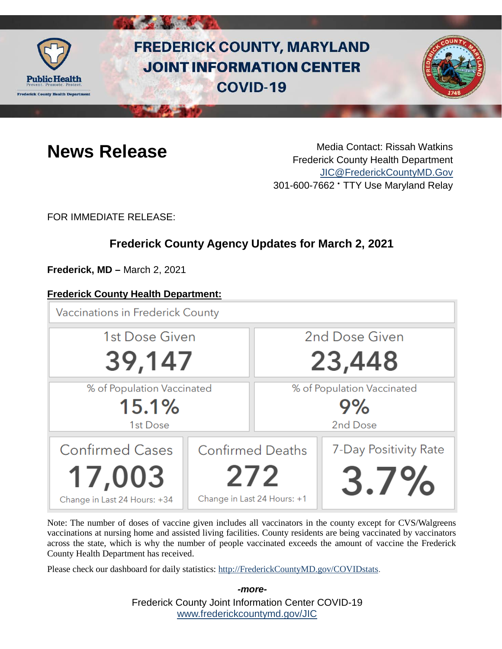

# **FREDERICK COUNTY, MARYLAND JOINT INFORMATION CENTER COVID-19**



**News Release** Media Contact: Rissah Watkins Frederick County Health Department [JIC@FrederickCountyMD.Gov](mailto:JIC@FrederickCountyMD.Gov) 301-600-7662 • TTY Use Maryland Relay

FOR IMMEDIATE RELEASE:

# **Frederick County Agency Updates for March 2, 2021**

**Frederick, MD –** March 2, 2021

# **Frederick County Health Department:**

**Vaccinations in Frederick County** 



Note: The number of doses of vaccine given includes all vaccinators in the county except for CVS/Walgreens vaccinations at nursing home and assisted living facilities. County residents are being vaccinated by vaccinators across the state, which is why the number of people vaccinated exceeds the amount of vaccine the Frederick County Health Department has received.

Please check our dashboard for daily statistics: [http://FrederickCountyMD.gov/COVIDstats.](http://frederickcountymd.gov/COVIDstats)

Frederick County Joint Information Center COVID-19 [www.frederickcountymd.gov/JIC](https://frederickcountymd.gov/JIC) *-more-*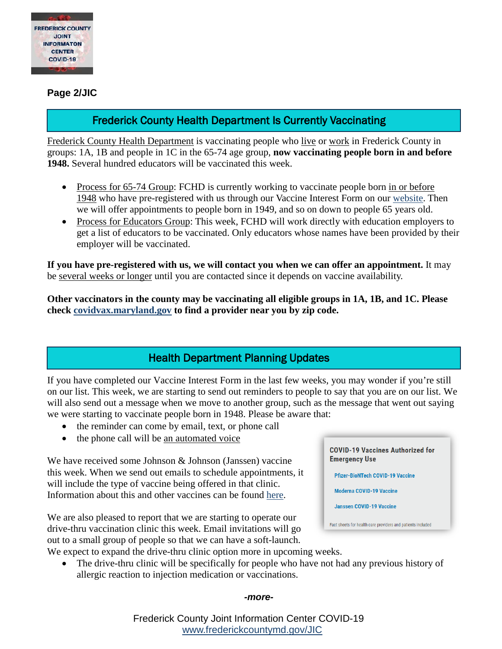

**Page 2/JIC**

# Frederick County Health Department Is Currently Vaccinating

Frederick County Health Department is vaccinating people who live or work in Frederick County in groups: 1A, 1B and people in 1C in the 65-74 age group, **now vaccinating people born in and before 1948.** Several hundred educators will be vaccinated this week.

- Process for 65-74 Group: FCHD is currently working to vaccinate people born in or before 1948 who have pre-registered with us through our Vaccine Interest Form on our [website.](https://health.frederickcountymd.gov/629/COVID-19-Vaccine) Then we will offer appointments to people born in 1949, and so on down to people 65 years old.
- Process for Educators Group: This week, FCHD will work directly with education employers to get a list of educators to be vaccinated. Only educators whose names have been provided by their employer will be vaccinated.

**If you have pre-registered with us, we will contact you when we can offer an appointment.** It may be several weeks or longer until you are contacted since it depends on vaccine availability.

**Other vaccinators in the county may be vaccinating all eligible groups in 1A, 1B, and 1C. Please check [covidvax.maryland.gov](https://coronavirus.maryland.gov/pages/vaccine) to find a provider near you by zip code.**

# Health Department Planning Updates

If you have completed our Vaccine Interest Form in the last few weeks, you may wonder if you're still on our list. This week, we are starting to send out reminders to people to say that you are on our list. We will also send out a message when we move to another group, such as the message that went out saying we were starting to vaccinate people born in 1948. Please be aware that:

- the reminder can come by email, text, or phone call
- the phone call will be an automated voice

We have received some Johnson & Johnson (Janssen) vaccine this week. When we send out emails to schedule appointments, it will include the type of vaccine being offered in that clinic. Information about this and other vaccines can be found [here.](https://www.fda.gov/emergency-preparedness-and-response/coronavirus-disease-2019-covid-19/covid-19-vaccines)

We are also pleased to report that we are starting to operate our drive-thru vaccination clinic this week. Email invitations will go out to a small group of people so that we can have a soft-launch.

**COVID-19 Vaccines Authorized for Emergency Use** 

**Pfizer-BioNTech COVID-19 Vaccine** 

**Moderna COVID-19 Vaccine** 

**Janssen COVID-19 Vaccine** 

Fact sheets for health care providers and patients included

- We expect to expand the drive-thru clinic option more in upcoming weeks.
	- The drive-thru clinic will be specifically for people who have not had any previous history of allergic reaction to injection medication or vaccinations.

#### *-more-*

Frederick County Joint Information Center COVID-19 [www.frederickcountymd.gov/JIC](https://frederickcountymd.gov/JIC)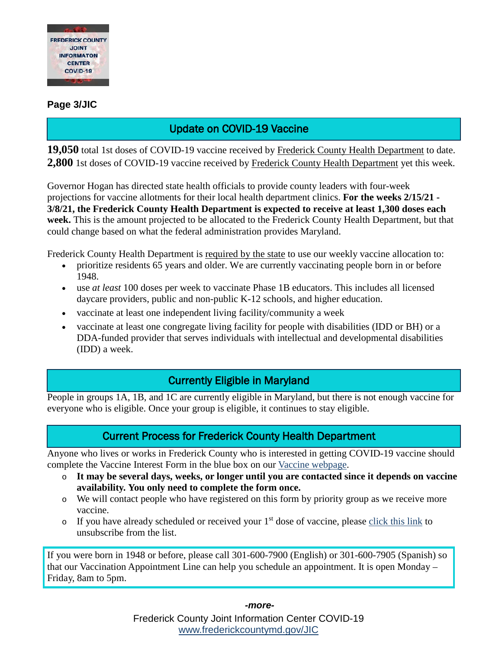

#### **Page 3/JIC**

# Update on COVID-19 Vaccine

**19,050** total 1st doses of COVID-19 vaccine received by Frederick County Health Department to date. **2,800** 1st doses of COVID-19 vaccine received by Frederick County Health Department yet this week.

Governor Hogan has directed state health officials to provide county leaders with four-week projections for vaccine allotments for their local health department clinics. **For the weeks 2/15/21 - 3/8/21, the Frederick County Health Department is expected to receive at least 1,300 doses each week.** This is the amount projected to be allocated to the Frederick County Health Department, but that could change based on what the federal administration provides Maryland.

Frederick County Health Department is required by the state to use our weekly vaccine allocation to:

- prioritize residents 65 years and older. We are currently vaccinating people born in or before 1948.
- use *at least* 100 doses per week to vaccinate Phase 1B educators. This includes all licensed daycare providers, public and non-public K-12 schools, and higher education.
- vaccinate at least one independent living facility/community a week
- vaccinate at least one congregate living facility for people with disabilities (IDD or BH) or a DDA-funded provider that serves individuals with intellectual and developmental disabilities (IDD) a week.

## Currently Eligible in Maryland

People in groups 1A, 1B, and 1C are currently eligible in Maryland, but there is not enough vaccine for everyone who is eligible. Once your group is eligible, it continues to stay eligible.

# Current Process for Frederick County Health Department

Anyone who lives or works in Frederick County who is interested in getting COVID-19 vaccine should complete the Vaccine Interest Form in the blue box on our [Vaccine webpage.](https://health.frederickcountymd.gov/629/COVID-19-Vaccine)

- o **It may be several days, weeks, or longer until you are contacted since it depends on vaccine availability. You only need to complete the form once.**
- o We will contact people who have registered on this form by priority group as we receive more vaccine.
- $\circ$  If you have already scheduled or received your 1<sup>st</sup> dose of vaccine, please [click this link](https://forms.office.com/Pages/ResponsePage.aspx?id=LTTGSAY4Q0id7GpAsbuHNwWNYN1Yz5tBp0XTFg0s7vVUQzg2UFZYWVEzOThNVUtWRkpYSjNOUlBSUCQlQCN0PWcu) to unsubscribe from the list.

If you were born in 1948 or before, please call 301-600-7900 (English) or 301-600-7905 (Spanish) so that our Vaccination Appointment Line can help you schedule an appointment. It is open Monday – Friday, 8am to 5pm.

*-more-*

Frederick County Joint Information Center COVID-19 [www.frederickcountymd.gov/JIC](https://frederickcountymd.gov/JIC)